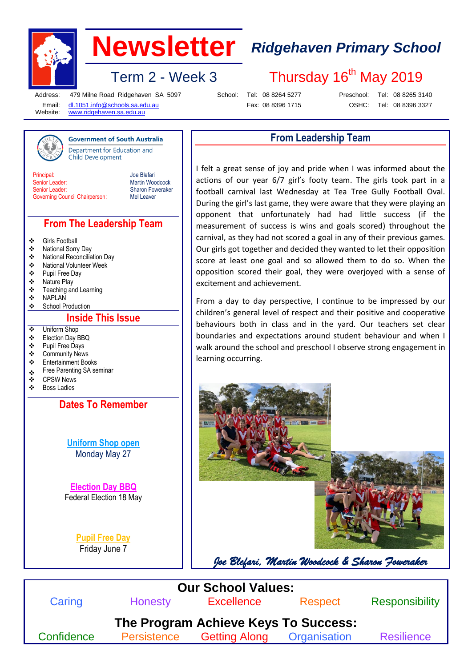

## **Newsletter** *Ridgehaven Primary School*

Thursday 16<sup>th</sup> May 2019

Term  $2$  - Week 3

Address: Email: Website:

479 Milne Road Ridgehaven SA 5097 [dl.1051.info@schools.sa.edu.au](mailto:dl.1051.info@schools.sa.edu.au)

**Government of South Australia** Department for Education and

School: Tel: 08 8264 5277 Fax: 08 8396 1715

Preschool: OSHC:

Tel: 08 8265 3140

[www.ridgehaven.sa.edu.au](http://www.ridgehaven.sa.edu.au/)

**Child Development** 

Tel: 08 8396 3327

#### **From Leadership Team**

**Principal** Senior Leader: Senior Leader: Governing Council Chairperson: Joe Blefari Martin Woodcock Sharon Foweraker Mel Leaver

#### **From The Leadership Team**

- Girls Football
- National Sorry Day
- National Reconciliation Day
- National Volunteer Week
- **Pupil Free Day**<br> **A** Nature Play
- ❖ Nature Play<br>❖ Teaching an
- Teaching and Learning
- NAPLAN
- School Production

#### **Inside This Issue**

- Uniform Shop
- Election Day BBQ
- Pupil Free Days
- Community News
- Entertainment Books
- Free Parenting SA seminar<br>
SPSW News
- ❖ CPSW News<br>❖ Boss Ladies
- Boss Ladies

**Dates To Remember**

**Uniform Shop open** Monday May 27

**Election Day BBQ** Federal Election 18 May

> **Pupil Free Day** Friday June 7

I felt a great sense of joy and pride when I was informed about the actions of our year 6/7 girl's footy team. The girls took part in a football carnival last Wednesday at Tea Tree Gully Football Oval. During the girl's last game, they were aware that they were playing an opponent that unfortunately had had little success (if the measurement of success is wins and goals scored) throughout the carnival, as they had not scored a goal in any of their previous games. Our girls got together and decided they wanted to let their opposition score at least one goal and so allowed them to do so. When the opposition scored their goal, they were overjoyed with a sense of excitement and achievement.

From a day to day perspective, I continue to be impressed by our children's general level of respect and their positive and cooperative behaviours both in class and in the yard. Our teachers set clear boundaries and expectations around student behaviour and when I walk around the school and preschool I observe strong engagement in learning occurring.



*Joe Blefari, Martin Woodcock & Sharon Foweraker*

| <b>Our School Values:</b> |                      |              |                                      |
|---------------------------|----------------------|--------------|--------------------------------------|
| <b>Honesty</b>            | <b>Excellence</b>    | Respect      | Responsibility                       |
|                           | <b>Getting Along</b> | Organisation | <b>Resilience</b>                    |
|                           | Persistence          |              | The Program Achieve Keys To Success: |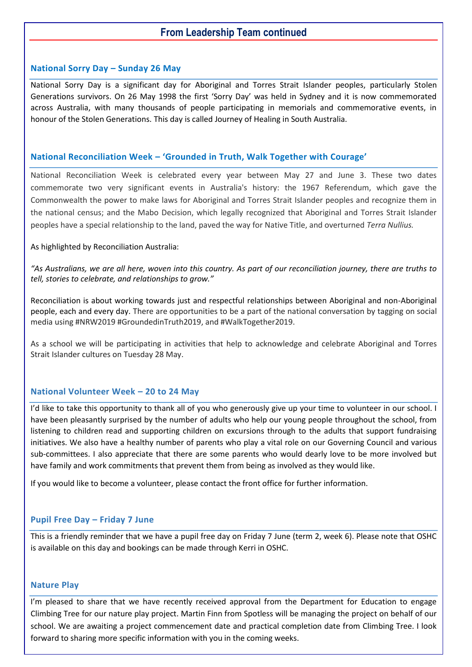#### **From Leadership Team continued**

#### **National Sorry Day – Sunday 26 May**

National Sorry Day is a significant day for Aboriginal and Torres Strait Islander peoples, particularly Stolen Generations survivors. On 26 May 1998 the first 'Sorry Day' was held in Sydney and it is now commemorated across Australia, with many thousands of people participating in memorials and commemorative events, in honour of the Stolen Generations. This day is called Journey of Healing in South Australia.

#### **National Reconciliation Week – 'Grounded in Truth, Walk Together with Courage'**

National Reconciliation Week is celebrated every year between May 27 and June 3. These two dates commemorate two very significant events in Australia's history: the 1967 Referendum, which gave the Commonwealth the power to make laws for Aboriginal and Torres Strait Islander peoples and recognize them in the national census; and the Mabo Decision, which legally recognized that Aboriginal and Torres Strait Islander peoples have a special relationship to the land, paved the way for Native Title, and overturned *Terra Nullius.*

#### As highlighted by Reconciliation Australia:

*"As Australians, we are all here, woven into this country. As part of our reconciliation journey, there are truths to tell, stories to celebrate, and relationships to grow."*

Reconciliation is about working towards just and respectful relationships between Aboriginal and non-Aboriginal people, each and every day. There are opportunities to be a part of the national conversation by tagging on social media using #NRW2019 #GroundedinTruth2019, and #WalkTogether2019.

As a school we will be participating in activities that help to acknowledge and celebrate Aboriginal and Torres Strait Islander cultures on Tuesday 28 May.

#### **National Volunteer Week – 20 to 24 May**

I'd like to take this opportunity to thank all of you who generously give up your time to volunteer in our school. I have been pleasantly surprised by the number of adults who help our young people throughout the school, from listening to children read and supporting children on excursions through to the adults that support fundraising initiatives. We also have a healthy number of parents who play a vital role on our Governing Council and various sub-committees. I also appreciate that there are some parents who would dearly love to be more involved but have family and work commitments that prevent them from being as involved as they would like.

If you would like to become a volunteer, please contact the front office for further information.

#### **Pupil Free Day – Friday 7 June**

This is a friendly reminder that we have a pupil free day on Friday 7 June (term 2, week 6). Please note that OSHC is available on this day and bookings can be made through Kerri in OSHC.

#### **Nature Play**

I'm pleased to share that we have recently received approval from the Department for Education to engage Climbing Tree for our nature play project. Martin Finn from Spotless will be managing the project on behalf of our school. We are awaiting a project commencement date and practical completion date from Climbing Tree. I look forward to sharing more specific information with you in the coming weeks.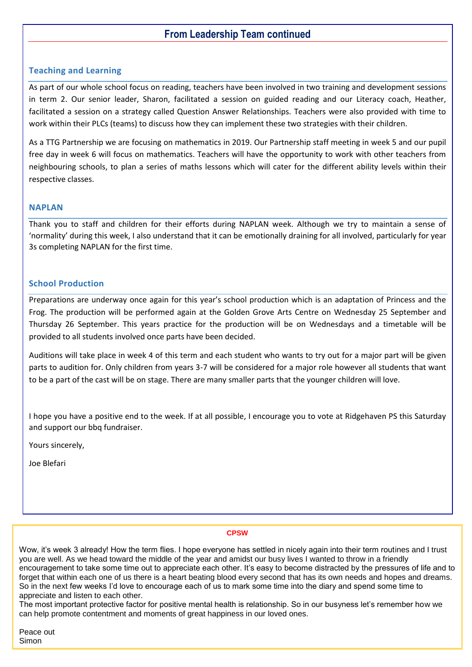#### **From Leadership Team continued**

#### **Teaching and Learning**

As part of our whole school focus on reading, teachers have been involved in two training and development sessions in term 2. Our senior leader, Sharon, facilitated a session on guided reading and our Literacy coach, Heather, facilitated a session on a strategy called Question Answer Relationships. Teachers were also provided with time to work within their PLCs (teams) to discuss how they can implement these two strategies with their children.

As a TTG Partnership we are focusing on mathematics in 2019. Our Partnership staff meeting in week 5 and our pupil free day in week 6 will focus on mathematics. Teachers will have the opportunity to work with other teachers from neighbouring schools, to plan a series of maths lessons which will cater for the different ability levels within their respective classes.

#### **NAPLAN**

Thank you to staff and children for their efforts during NAPLAN week. Although we try to maintain a sense of 'normality' during this week, I also understand that it can be emotionally draining for all involved, particularly for year 3s completing NAPLAN for the first time.

#### **School Production**

Preparations are underway once again for this year's school production which is an adaptation of Princess and the Frog. The production will be performed again at the Golden Grove Arts Centre on Wednesday 25 September and Thursday 26 September. This years practice for the production will be on Wednesdays and a timetable will be provided to all students involved once parts have been decided.

Auditions will take place in week 4 of this term and each student who wants to try out for a major part will be given parts to audition for. Only children from years 3-7 will be considered for a major role however all students that want to be a part of the cast will be on stage. There are many smaller parts that the younger children will love.

I hope you have a positive end to the week. If at all possible, I encourage you to vote at Ridgehaven PS this Saturday and support our bbq fundraiser.

Yours sincerely,

Joe Blefari

#### **CPSW**

Wow, it's week 3 already! How the term flies. I hope everyone has settled in nicely again into their term routines and I trust you are well. As we head toward the middle of the year and amidst our busy lives I wanted to throw in a friendly encouragement to take some time out to appreciate each other. It's easy to become distracted by the pressures of life and to forget that within each one of us there is a heart beating blood every second that has its own needs and hopes and dreams. So in the next few weeks I'd love to encourage each of us to mark some time into the diary and spend some time to appreciate and listen to each other.

The most important protective factor for positive mental health is relationship. So in our busyness let's remember how we can help promote contentment and moments of great happiness in our loved ones.

Peace out Simon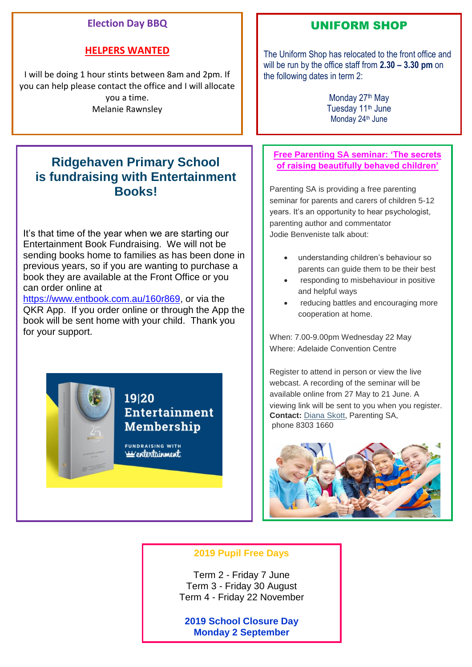#### **Election Day BBQ**

#### **HELPERS WANTED**

I will be doing 1 hour stints between 8am and 2pm. If you can help please contact the office and I will allocate you a time. Melanie Rawnsley

### **Ridgehaven Primary School is fundraising with Entertainment Books!**

It's that time of the year when we are starting our Entertainment Book Fundraising. We will not be sending books home to families as has been done in previous years, so if you are wanting to purchase a book they are available at the Front Office or you can order online at

[https://www.entbook.com.au/160r869,](https://www.entbook.com.au/160r869) or via the QKR App. If you order online or through the App the book will be sent home with your child. Thank you for your support.

19120

FUNDRAISING WITH <u>isis entertainment</u>

**Entertainment** 

**Membership** 

#### UNIFORM SHOP

The Uniform Shop has relocated to the front office and will be run by the office staff from **2.30 – 3.30 pm** on the following dates in term 2:

> Monday 27<sup>th</sup> May Tuesday 11<sup>th</sup> June Monday 24<sup>th</sup> June

**Free Parenting SA seminar: 'The secrets of raising beautifully behaved children'**

Parenting SA is providing a free parenting seminar for parents and carers of children 5-12 years. It's an opportunity to hear psychologist, parenting author and commentator Jodie Benveniste talk about:

- understanding children's behaviour so parents can guide them to be their best
- responding to misbehaviour in positive and helpful ways
- reducing battles and encouraging more cooperation at home.

When: 7.00-9.00pm Wednesday 22 May Where: Adelaide Convention Centre

Register to attend in person or view the live webcast. A recording of the seminar will be available online from 27 May to 21 June. A viewing link will be sent to you when you register. **Contact:** [Diana Skott,](mailto:Diana.Skott@sa.gov.au) Parenting SA, phone 8303 1660



#### **2019 Pupil Free Days**

Term 2 - Friday 7 June Term 3 - Friday 30 August Term 4 - Friday 22 November

**2019 School Closure Day Monday 2 September**